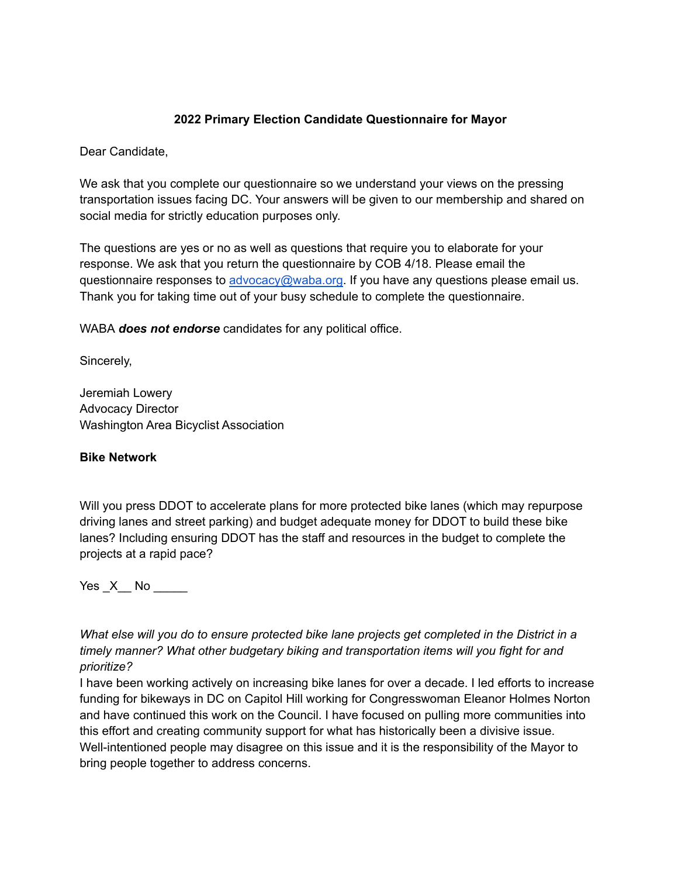## **2022 Primary Election Candidate Questionnaire for Mayor**

Dear Candidate,

We ask that you complete our questionnaire so we understand your views on the pressing transportation issues facing DC. Your answers will be given to our membership and shared on social media for strictly education purposes only.

The questions are yes or no as well as questions that require you to elaborate for your response. We ask that you return the questionnaire by COB 4/18. Please email the questionnaire responses to [advocacy@waba.org.](mailto:advocacy@waba.org) If you have any questions please email us. Thank you for taking time out of your busy schedule to complete the questionnaire.

WABA *does not endorse* candidates for any political office.

Sincerely,

Jeremiah Lowery Advocacy Director Washington Area Bicyclist Association

#### **Bike Network**

Will you press DDOT to accelerate plans for more protected bike lanes (which may repurpose driving lanes and street parking) and budget adequate money for DDOT to build these bike lanes? Including ensuring DDOT has the staff and resources in the budget to complete the projects at a rapid pace?

Yes \_X\_\_ No \_\_\_\_\_

*What else will you do to ensure protected bike lane projects get completed in the District in a timely manner? What other budgetary biking and transportation items will you fight for and prioritize?*

I have been working actively on increasing bike lanes for over a decade. I led efforts to increase funding for bikeways in DC on Capitol Hill working for Congresswoman Eleanor Holmes Norton and have continued this work on the Council. I have focused on pulling more communities into this effort and creating community support for what has historically been a divisive issue. Well-intentioned people may disagree on this issue and it is the responsibility of the Mayor to bring people together to address concerns.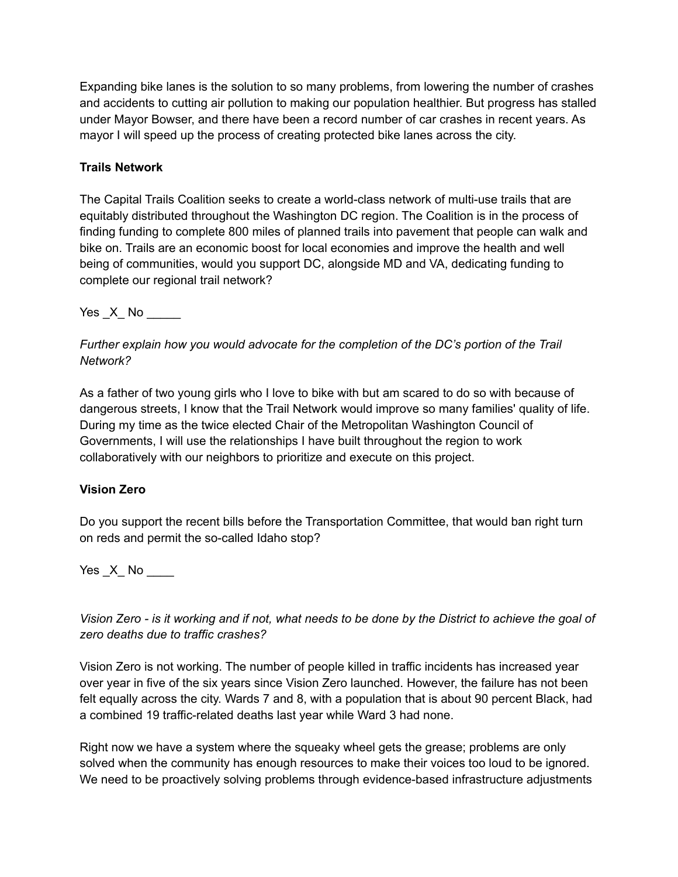Expanding bike lanes is the solution to so many problems, from lowering the number of crashes and accidents to cutting air pollution to making our population healthier. But progress has stalled under Mayor Bowser, and there have been a record number of car crashes in recent years. As mayor I will speed up the process of creating protected bike lanes across the city.

# **Trails Network**

The Capital Trails Coalition seeks to create a world-class network of multi-use trails that are equitably distributed throughout the Washington DC region. The Coalition is in the process of finding funding to complete 800 miles of planned trails into pavement that people can walk and bike on. Trails are an economic boost for local economies and improve the health and well being of communities, would you support DC, alongside MD and VA, dedicating funding to complete our regional trail network?

Yes X No  $\blacksquare$ 

*Further explain how you would advocate for the completion of the DC's portion of the Trail Network?*

As a father of two young girls who I love to bike with but am scared to do so with because of dangerous streets, I know that the Trail Network would improve so many families' quality of life. During my time as the twice elected Chair of the Metropolitan Washington Council of Governments, I will use the relationships I have built throughout the region to work collaboratively with our neighbors to prioritize and execute on this project.

# **Vision Zero**

Do you support the recent bills before the Transportation Committee, that would ban right turn on reds and permit the so-called Idaho stop?

Yes \_X\_ No \_\_\_\_

*Vision Zero - is it working and if not, what needs to be done by the District to achieve the goal of zero deaths due to traffic crashes?*

Vision Zero is not working. The number of people killed in traffic incidents has increased year over year in five of the six years since Vision Zero launched. However, the failure has not been felt equally across the city. Wards 7 and 8, with a population that is about 90 percent Black, had a combined 19 traffic-related deaths last year while Ward 3 had none.

Right now we have a system where the squeaky wheel gets the grease; problems are only solved when the community has enough resources to make their voices too loud to be ignored. We need to be proactively solving problems through evidence-based infrastructure adjustments